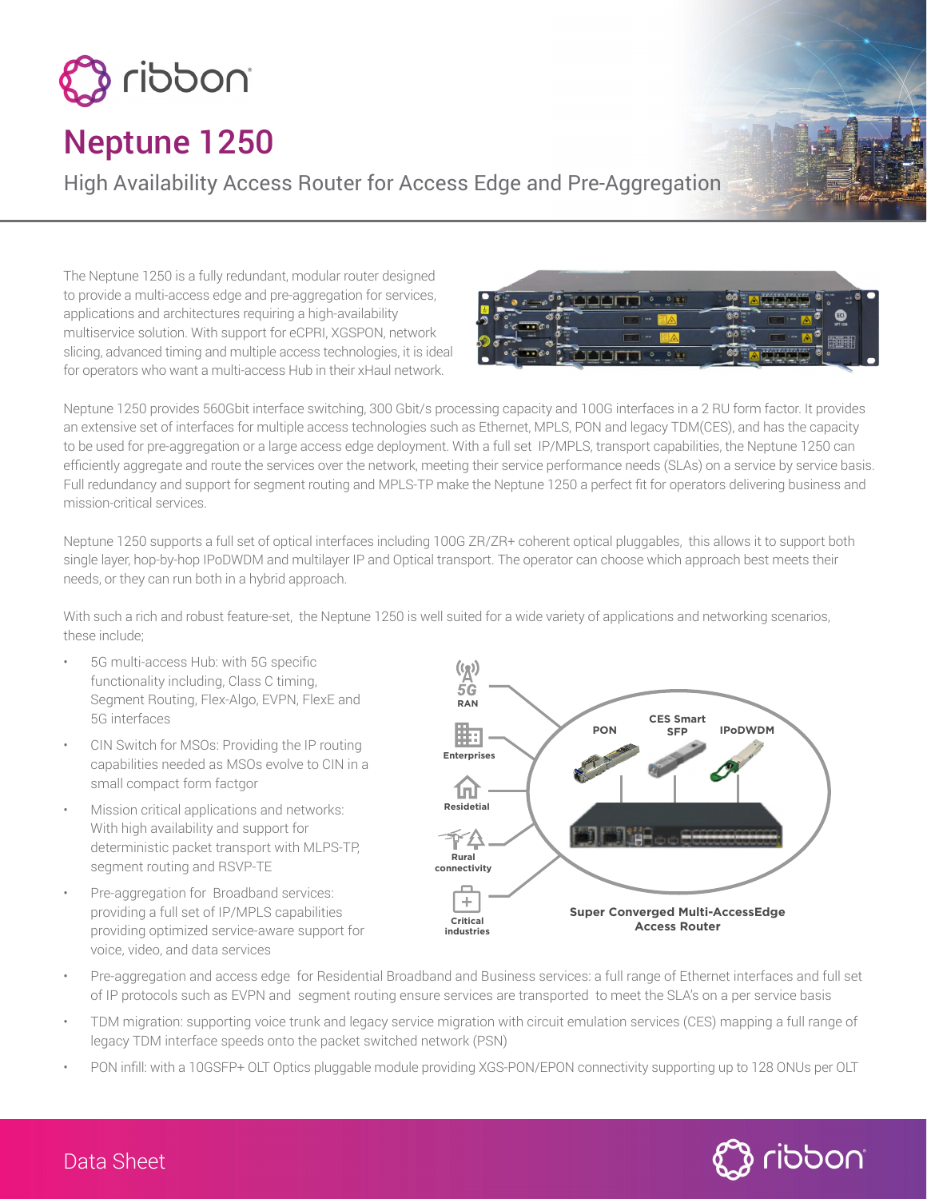

# Neptune 1250

High Availability Access Router for Access Edge and Pre-Aggregation

The Neptune 1250 is a fully redundant, modular router designed to provide a multi-access edge and pre-aggregation for services, applications and architectures requiring a high-availability multiservice solution. With support for eCPRI, XGSPON, network slicing, advanced timing and multiple access technologies, it is ideal for operators who want a multi-access Hub in their xHaul network.



Neptune 1250 provides 560Gbit interface switching, 300 Gbit/s processing capacity and 100G interfaces in a 2 RU form factor. It provides an extensive set of interfaces for multiple access technologies such as Ethernet, MPLS, PON and legacy TDM(CES), and has the capacity to be used for pre-aggregation or a large access edge deployment. With a full set IP/MPLS, transport capabilities, the Neptune 1250 can efficiently aggregate and route the services over the network, meeting their service performance needs (SLAs) on a service by service basis. Full redundancy and support for segment routing and MPLS-TP make the Neptune 1250 a perfect fit for operators delivering business and mission-critical services.

Neptune 1250 supports a full set of optical interfaces including 100G ZR/ZR+ coherent optical pluggables, this allows it to support both single layer, hop-by-hop IPoDWDM and multilayer IP and Optical transport. The operator can choose which approach best meets their needs, or they can run both in a hybrid approach.

With such a rich and robust feature-set, the Neptune 1250 is well suited for a wide variety of applications and networking scenarios, these include;

- 5G multi-access Hub: with 5G specific functionality including, Class C timing, Segment Routing, Flex-Algo, EVPN, FlexE and 5G interfaces
- CIN Switch for MSOs: Providing the IP routing capabilities needed as MSOs evolve to CIN in a small compact form factgor
- Mission critical applications and networks: With high availability and support for deterministic packet transport with MLPS-TP, segment routing and RSVP-TE
- Pre-aggregation for Broadband services: providing a full set of IP/MPLS capabilities providing optimized service-aware support for voice, video, and data services



- Pre-aggregation and access edge for Residential Broadband and Business services: a full range of Ethernet interfaces and full set of IP protocols such as EVPN and segment routing ensure services are transported to meet the SLA's on a per service basis
- TDM migration: supporting voice trunk and legacy service migration with circuit emulation services (CES) mapping a full range of legacy TDM interface speeds onto the packet switched network (PSN)
- PON infill: with a 10GSFP+ OLT Optics pluggable module providing XGS-PON/EPON connectivity supporting up to 128 ONUs per OLT



Data Sheet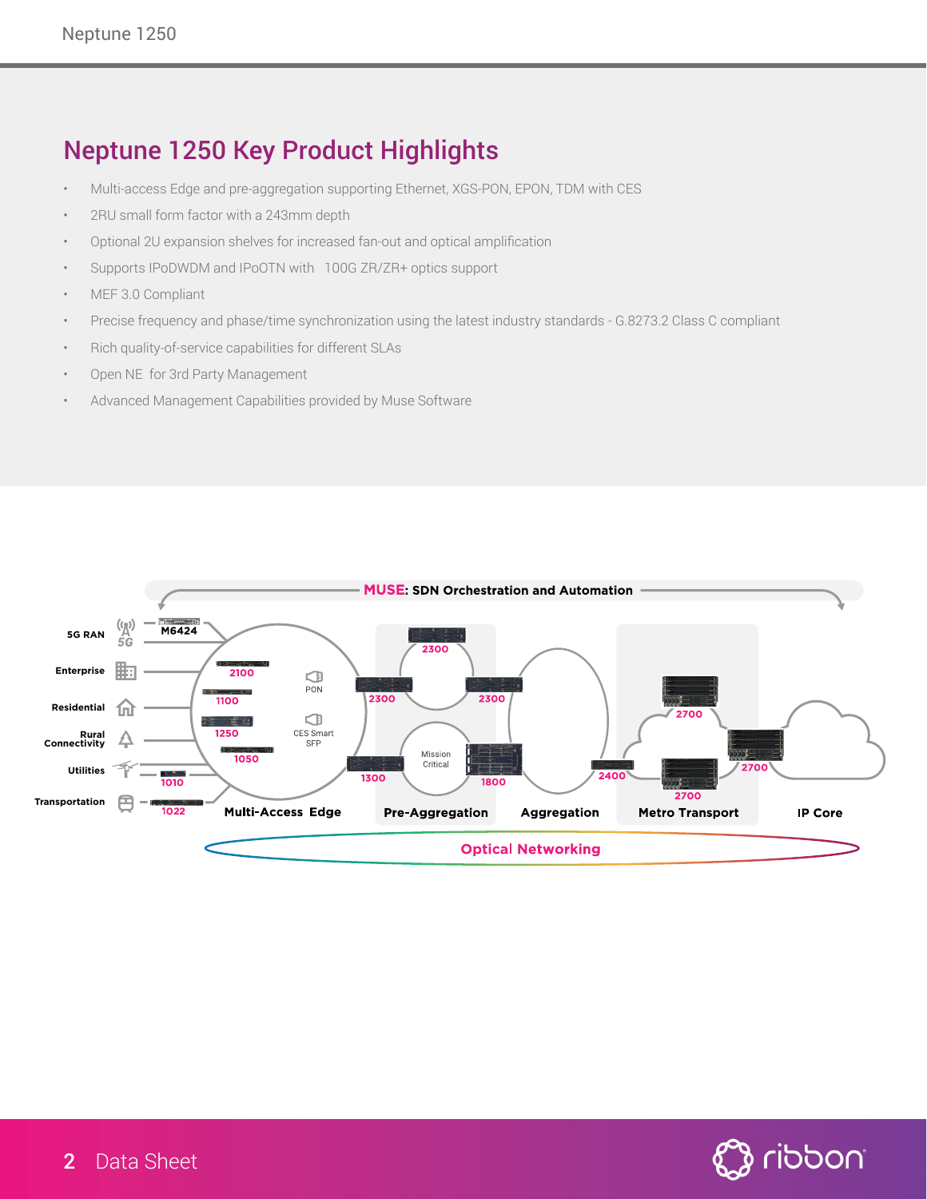### Neptune 1250 Key Product Highlights

- Multi-access Edge and pre-aggregation supporting Ethernet, XGS-PON, EPON, TDM with CES
- 2RU small form factor with a 243mm depth
- Optional 2U expansion shelves for increased fan-out and optical amplification
- Supports IPoDWDM and IPoOTN with 100G ZR/ZR+ optics support
- MEF 3.0 Compliant
- Precise frequency and phase/time synchronization using the latest industry standards G.8273.2 Class C compliant
- Rich quality-of-service capabilities for different SLAs
- Open NE for 3rd Party Management
- Advanced Management Capabilities provided by Muse Software



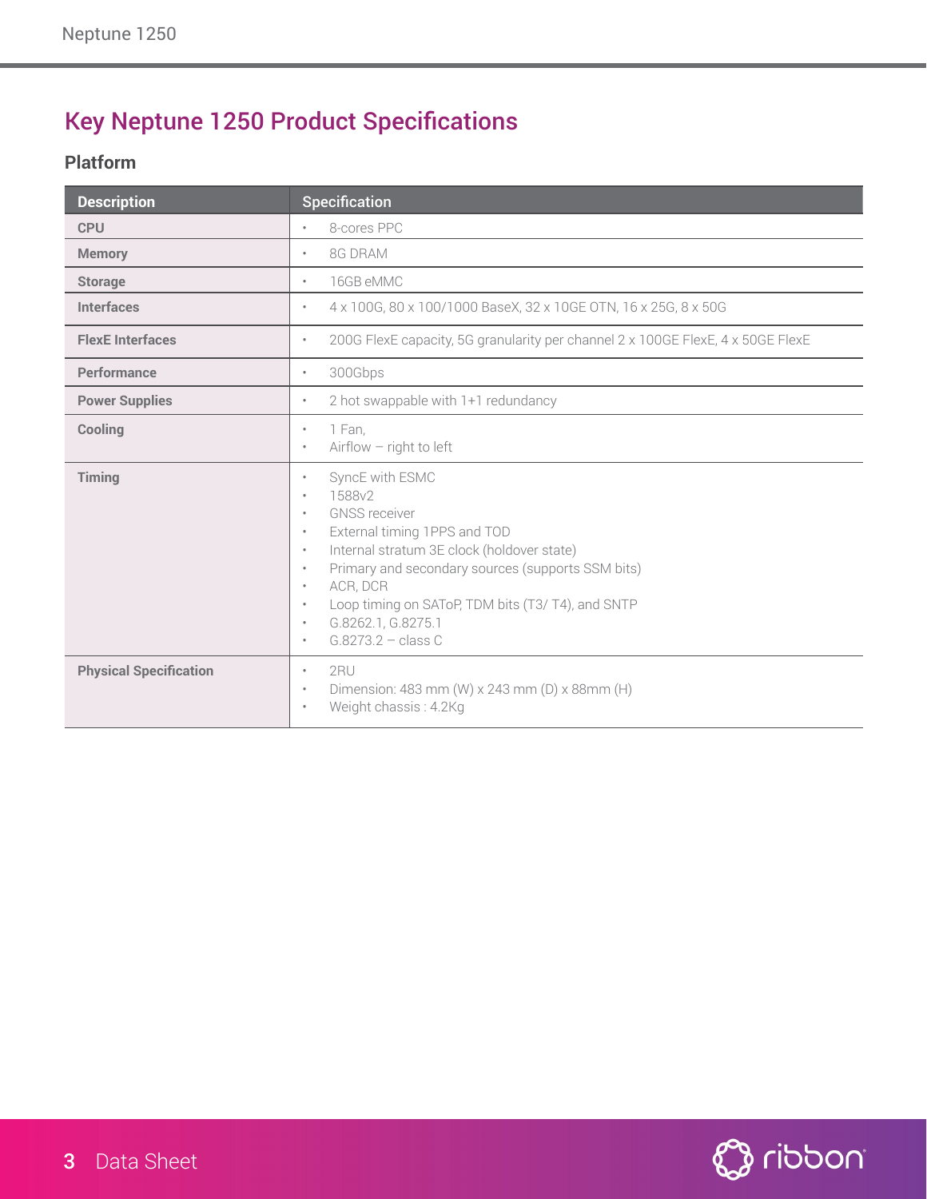## Key Neptune 1250 Product Specifications

#### **Platform**

| <b>Description</b>            | Specification                                                                                                                                                                                                                                                                                                                                                                                                                |
|-------------------------------|------------------------------------------------------------------------------------------------------------------------------------------------------------------------------------------------------------------------------------------------------------------------------------------------------------------------------------------------------------------------------------------------------------------------------|
| <b>CPU</b>                    | 8-cores PPC<br>$\bullet$                                                                                                                                                                                                                                                                                                                                                                                                     |
| <b>Memory</b>                 | 8G DRAM<br>$\bullet$                                                                                                                                                                                                                                                                                                                                                                                                         |
| <b>Storage</b>                | 16GB eMMC<br>$\bullet$                                                                                                                                                                                                                                                                                                                                                                                                       |
| <b>Interfaces</b>             | 4 x 100G, 80 x 100/1000 BaseX, 32 x 10GE OTN, 16 x 25G, 8 x 50G<br>$\bullet$                                                                                                                                                                                                                                                                                                                                                 |
| <b>FlexE</b> Interfaces       | 200G FlexE capacity, 5G granularity per channel 2 x 100GE FlexE, 4 x 50GE FlexE<br>$\bullet$                                                                                                                                                                                                                                                                                                                                 |
| Performance                   | 300Gbps<br>$\bullet$                                                                                                                                                                                                                                                                                                                                                                                                         |
| <b>Power Supplies</b>         | 2 hot swappable with 1+1 redundancy<br>$\bullet$                                                                                                                                                                                                                                                                                                                                                                             |
| Cooling                       | 1 Fan,<br>$\bullet$<br>Airflow - right to left<br>$\bullet$                                                                                                                                                                                                                                                                                                                                                                  |
| Timing                        | SyncE with ESMC<br>$\bullet$<br>1588v2<br>$\bullet$<br><b>GNSS</b> receiver<br>$\bullet$<br>External timing 1PPS and TOD<br>$\bullet$<br>Internal stratum 3E clock (holdover state)<br>$\bullet$<br>Primary and secondary sources (supports SSM bits)<br>$\bullet$<br>ACR, DCR<br>$\bullet$<br>Loop timing on SAToP, TDM bits (T3/T4), and SNTP<br>$\bullet$<br>G.8262.1, G.8275.1<br>$\bullet$<br>$G.8273.2 - class C$<br>٠ |
| <b>Physical Specification</b> | $2$ RU<br>$\bullet$<br>Dimension: 483 mm (W) x 243 mm (D) x 88mm (H)<br>$\bullet$<br>Weight chassis: 4.2Kg<br>$\bullet$                                                                                                                                                                                                                                                                                                      |

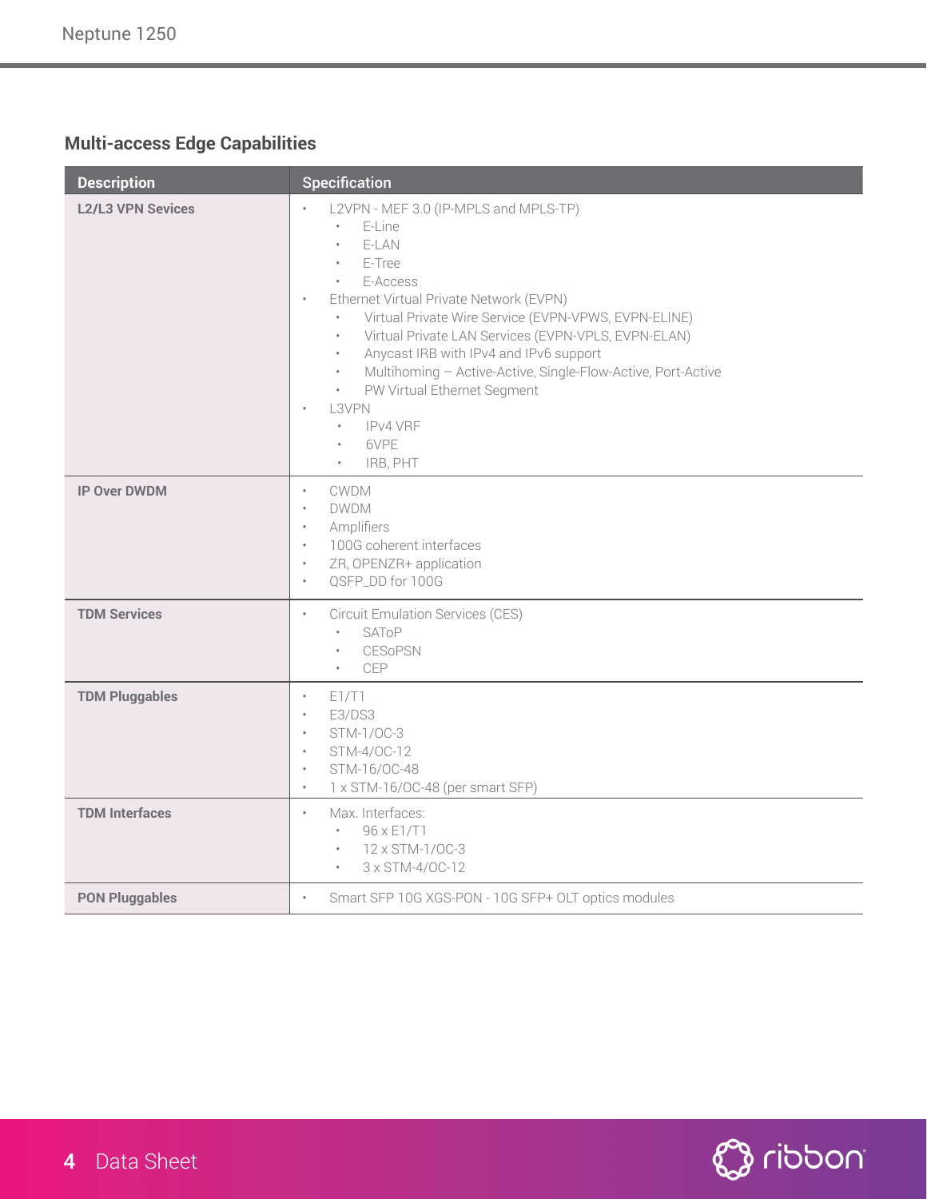### **Multi-access Edge Capabilities**

| <b>Description</b>       | <b>Specification</b>                                                                                                                                                                                                                                                                                                                                                                                                                                                                                                                          |
|--------------------------|-----------------------------------------------------------------------------------------------------------------------------------------------------------------------------------------------------------------------------------------------------------------------------------------------------------------------------------------------------------------------------------------------------------------------------------------------------------------------------------------------------------------------------------------------|
| <b>L2/L3 VPN Sevices</b> | L2VPN - MEF 3.0 (IP-MPLS and MPLS-TP)<br>E-Line<br>E-LAN<br>E-Tree<br>E-Access<br>$\bullet$<br>Ethernet Virtual Private Network (EVPN)<br>$\bullet$<br>Virtual Private Wire Service (EVPN-VPWS, EVPN-ELINE)<br>Virtual Private LAN Services (EVPN-VPLS, EVPN-ELAN)<br>$\bullet$<br>Anycast IRB with IPv4 and IPv6 support<br>$\bullet$<br>Multihoming - Active-Active, Single-Flow-Active, Port-Active<br>$\bullet$<br>PW Virtual Ethernet Segment<br>$\bullet$<br>L3VPN<br>$\ddot{\phantom{a}}$<br>IPv4 VRF<br>6VPE<br>IRB, PHT<br>$\bullet$ |
| <b>IP Over DWDM</b>      | <b>CWDM</b><br>$\bullet$<br><b>DWDM</b><br>$\bullet$<br>Amplifiers<br>$\bullet$<br>100G coherent interfaces<br>$\bullet$<br>ZR, OPENZR+ application<br>$\bullet$<br>QSFP_DD for 100G<br>$\bullet$                                                                                                                                                                                                                                                                                                                                             |
| <b>TDM Services</b>      | <b>Circuit Emulation Services (CES)</b><br>$\bullet$<br>$\bullet$<br>SAToP<br><b>CESoPSN</b><br>$\bullet$<br>CEP                                                                                                                                                                                                                                                                                                                                                                                                                              |
| <b>TDM Pluggables</b>    | E1/T1<br>$\bullet$<br>E3/DS3<br>$\bullet$<br>STM-1/0C-3<br>$\bullet$<br>STM-4/OC-12<br>$\bullet$<br>STM-16/OC-48<br>$\bullet$<br>1 x STM-16/OC-48 (per smart SFP)<br>$\bullet$                                                                                                                                                                                                                                                                                                                                                                |
| <b>TDM Interfaces</b>    | Max. Interfaces:<br>$\bullet$<br>96 x E1/T1<br>$\bullet$<br>12 x STM-1/0C-3<br>3 x STM-4/OC-12                                                                                                                                                                                                                                                                                                                                                                                                                                                |
| <b>PON Pluggables</b>    | Smart SFP 10G XGS-PON - 10G SFP+ OLT optics modules<br>$\ddot{\phantom{a}}$                                                                                                                                                                                                                                                                                                                                                                                                                                                                   |

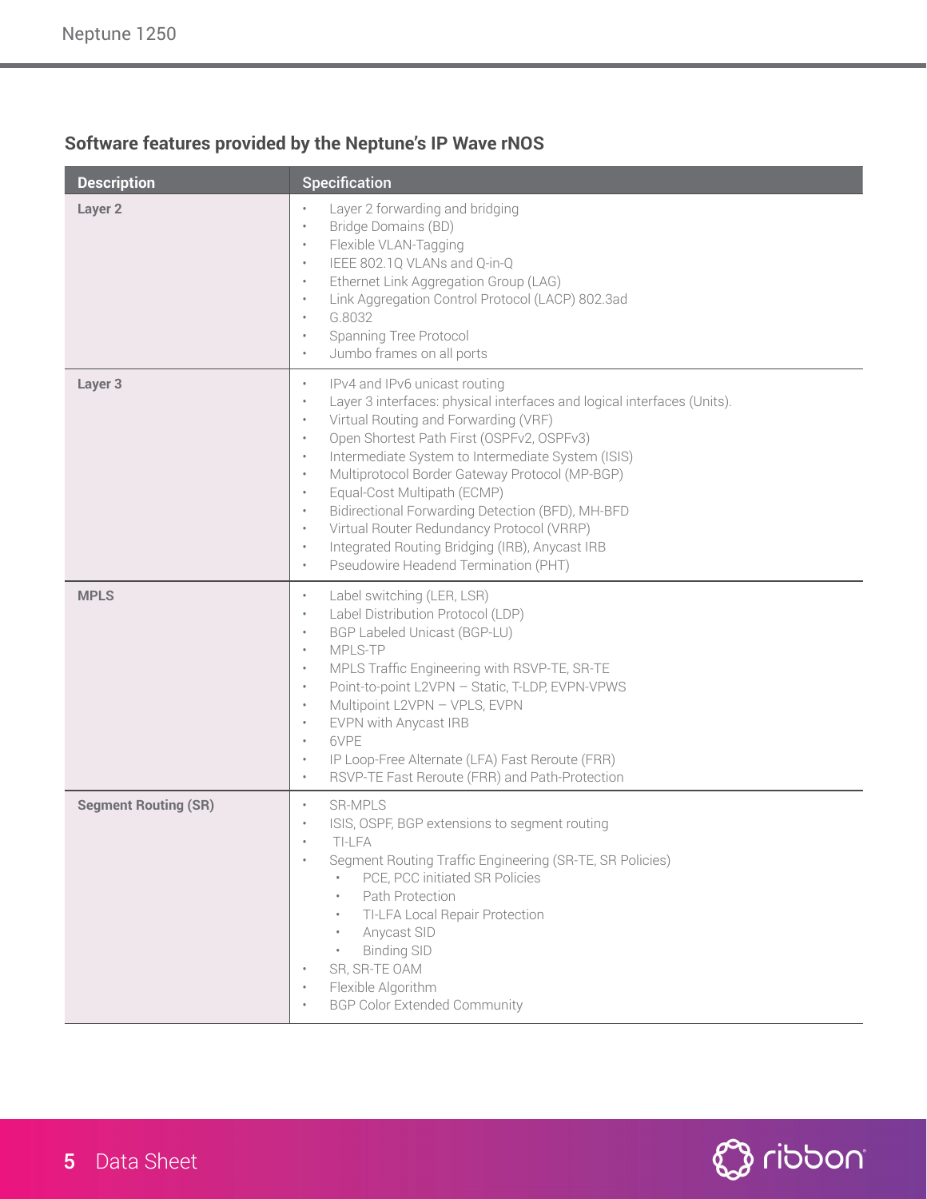### **Software features provided by the Neptune's IP Wave rNOS**

| <b>Description</b>          | Specification                                                                                                                                                                                                                                                                                                                                                                                                                                                                                                                                                                                                                                                                 |
|-----------------------------|-------------------------------------------------------------------------------------------------------------------------------------------------------------------------------------------------------------------------------------------------------------------------------------------------------------------------------------------------------------------------------------------------------------------------------------------------------------------------------------------------------------------------------------------------------------------------------------------------------------------------------------------------------------------------------|
| Layer <sub>2</sub>          | Layer 2 forwarding and bridging<br>$\bullet$<br>Bridge Domains (BD)<br>$\bullet$<br>Flexible VLAN-Tagging<br>$\bullet$<br>IEEE 802.1Q VLANs and Q-in-Q<br>$\bullet$<br>Ethernet Link Aggregation Group (LAG)<br>$\bullet$<br>Link Aggregation Control Protocol (LACP) 802.3ad<br>$\bullet$<br>G.8032<br>$\bullet$<br>Spanning Tree Protocol<br>$\bullet$<br>Jumbo frames on all ports<br>$\bullet$                                                                                                                                                                                                                                                                            |
| Layer 3                     | IPv4 and IPv6 unicast routing<br>$\bullet$<br>Layer 3 interfaces: physical interfaces and logical interfaces (Units).<br>$\bullet$<br>Virtual Routing and Forwarding (VRF)<br>$\bullet$<br>Open Shortest Path First (OSPFv2, OSPFv3)<br>$\bullet$<br>Intermediate System to Intermediate System (ISIS)<br>$\bullet$<br>Multiprotocol Border Gateway Protocol (MP-BGP)<br>$\bullet$<br>Equal-Cost Multipath (ECMP)<br>$\bullet$<br>Bidirectional Forwarding Detection (BFD), MH-BFD<br>$\bullet$<br>Virtual Router Redundancy Protocol (VRRP)<br>$\bullet$<br>Integrated Routing Bridging (IRB), Anycast IRB<br>$\bullet$<br>Pseudowire Headend Termination (PHT)<br>$\bullet$ |
| <b>MPLS</b>                 | Label switching (LER, LSR)<br>$\bullet$<br>Label Distribution Protocol (LDP)<br>$\bullet$<br>BGP Labeled Unicast (BGP-LU)<br>$\bullet$<br>MPLS-TP<br>$\bullet$<br>MPLS Traffic Engineering with RSVP-TE, SR-TE<br>$\bullet$<br>Point-to-point L2VPN - Static, T-LDP, EVPN-VPWS<br>$\bullet$<br>Multipoint L2VPN - VPLS, EVPN<br>$\bullet$<br>EVPN with Anycast IRB<br>$\bullet$<br>6VPE<br>$\bullet$<br>IP Loop-Free Alternate (LFA) Fast Reroute (FRR)<br>$\bullet$<br>RSVP-TE Fast Reroute (FRR) and Path-Protection<br>$\bullet$                                                                                                                                           |
| <b>Segment Routing (SR)</b> | <b>SR-MPLS</b><br>$\bullet$<br>ISIS, OSPF, BGP extensions to segment routing<br>$\bullet$<br>TI-LFA<br>Segment Routing Traffic Engineering (SR-TE, SR Policies)<br>۰<br>PCE, PCC initiated SR Policies<br>Path Protection<br>$\bullet$<br>TI-LFA Local Repair Protection<br>Anycast SID<br>$\bullet$<br><b>Binding SID</b><br>SR, SR-TE OAM<br>Flexible Algorithm<br>۰<br><b>BGP Color Extended Community</b>                                                                                                                                                                                                                                                                 |

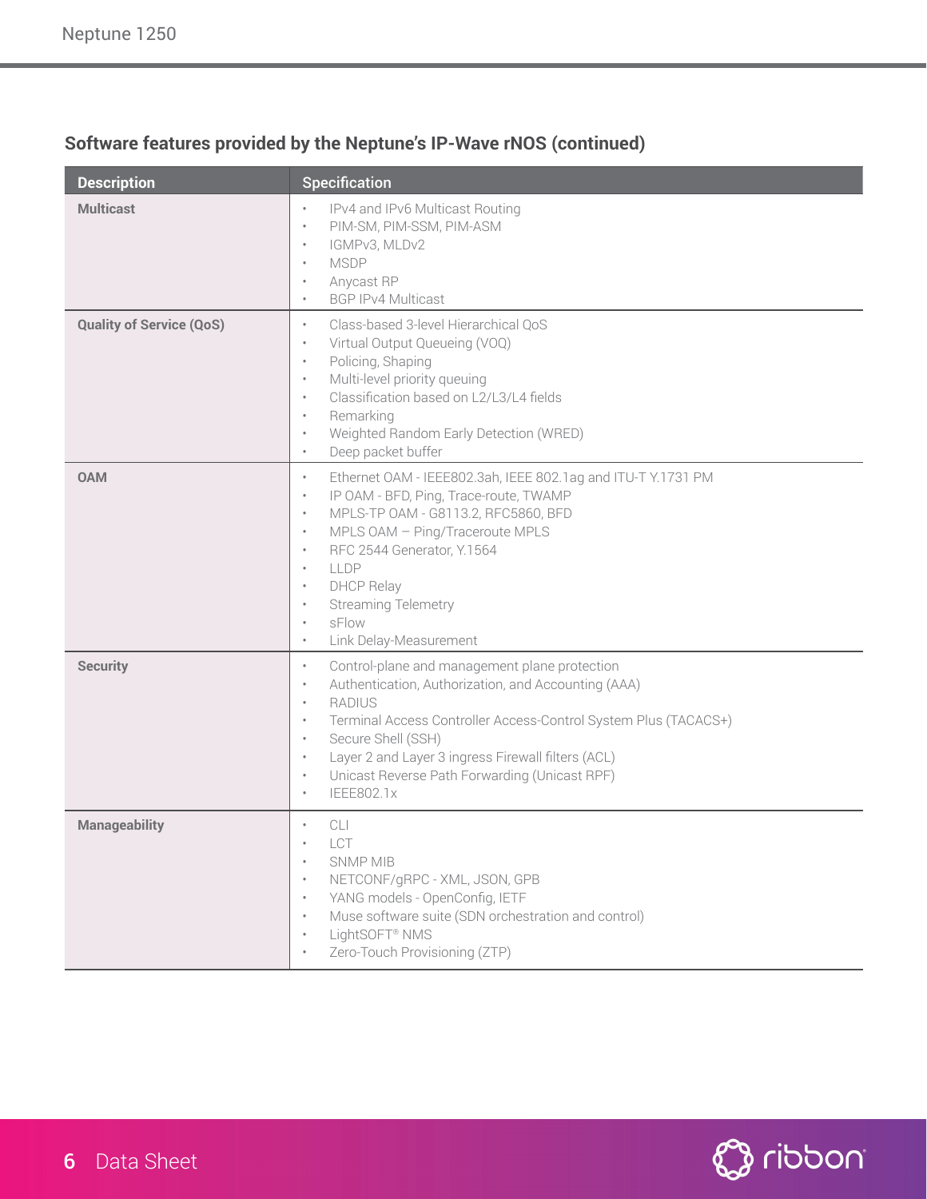| <b>Description</b>              | Specification                                                                                                                                                                                                                                                                                                                                                                                                                               |
|---------------------------------|---------------------------------------------------------------------------------------------------------------------------------------------------------------------------------------------------------------------------------------------------------------------------------------------------------------------------------------------------------------------------------------------------------------------------------------------|
| <b>Multicast</b>                | IPv4 and IPv6 Multicast Routing<br>$\bullet$<br>PIM-SM, PIM-SSM, PIM-ASM<br>$\bullet$<br>IGMPv3, MLDv2<br>$\bullet$<br><b>MSDP</b><br>$\bullet$<br>Anycast RP<br>$\bullet$<br><b>BGP IPv4 Multicast</b><br>$\bullet$                                                                                                                                                                                                                        |
| <b>Quality of Service (QoS)</b> | Class-based 3-level Hierarchical QoS<br>$\bullet$<br>Virtual Output Queueing (VOQ)<br>$\bullet$<br>Policing, Shaping<br>$\bullet$<br>Multi-level priority queuing<br>$\bullet$<br>Classification based on L2/L3/L4 fields<br>$\bullet$<br>Remarking<br>$\bullet$<br>Weighted Random Early Detection (WRED)<br>$\bullet$<br>Deep packet buffer<br>$\bullet$                                                                                  |
| <b>OAM</b>                      | Ethernet OAM - IEEE802.3ah, IEEE 802.1ag and ITU-T Y.1731 PM<br>$\bullet$<br>IP OAM - BFD, Ping, Trace-route, TWAMP<br>$\bullet$<br>MPLS-TP OAM - G8113.2, RFC5860, BFD<br>٠<br>MPLS OAM - Ping/Traceroute MPLS<br>$\bullet$<br>RFC 2544 Generator, Y.1564<br>٠<br>LLDP<br>$\bullet$<br><b>DHCP Relay</b><br>٠<br><b>Streaming Telemetry</b><br>$\bullet$<br>sFlow<br>$\bullet$<br>Link Delay-Measurement<br>$\bullet$                      |
| <b>Security</b>                 | Control-plane and management plane protection<br>$\bullet$<br>Authentication, Authorization, and Accounting (AAA)<br>$\bullet$<br><b>RADIUS</b><br>$\bullet$<br>Terminal Access Controller Access-Control System Plus (TACACS+)<br>$\bullet$<br>Secure Shell (SSH)<br>$\bullet$<br>Layer 2 and Layer 3 ingress Firewall filters (ACL)<br>$\bullet$<br>Unicast Reverse Path Forwarding (Unicast RPF)<br>$\bullet$<br>IEEE802.1x<br>$\bullet$ |
| <b>Manageability</b>            | CLI<br>$\bullet$<br>LCT<br>SNMP MIB<br>$\bullet$<br>NETCONF/gRPC - XML, JSON, GPB<br>$\bullet$<br>YANG models - OpenConfig, IETF<br>$\bullet$<br>Muse software suite (SDN orchestration and control)<br>$\bullet$<br>LightSOFT <sup>®</sup> NMS<br>$\bullet$<br>Zero-Touch Provisioning (ZTP)<br>$\bullet$                                                                                                                                  |

### **Software features provided by the Neptune's IP-Wave rNOS (continued)**

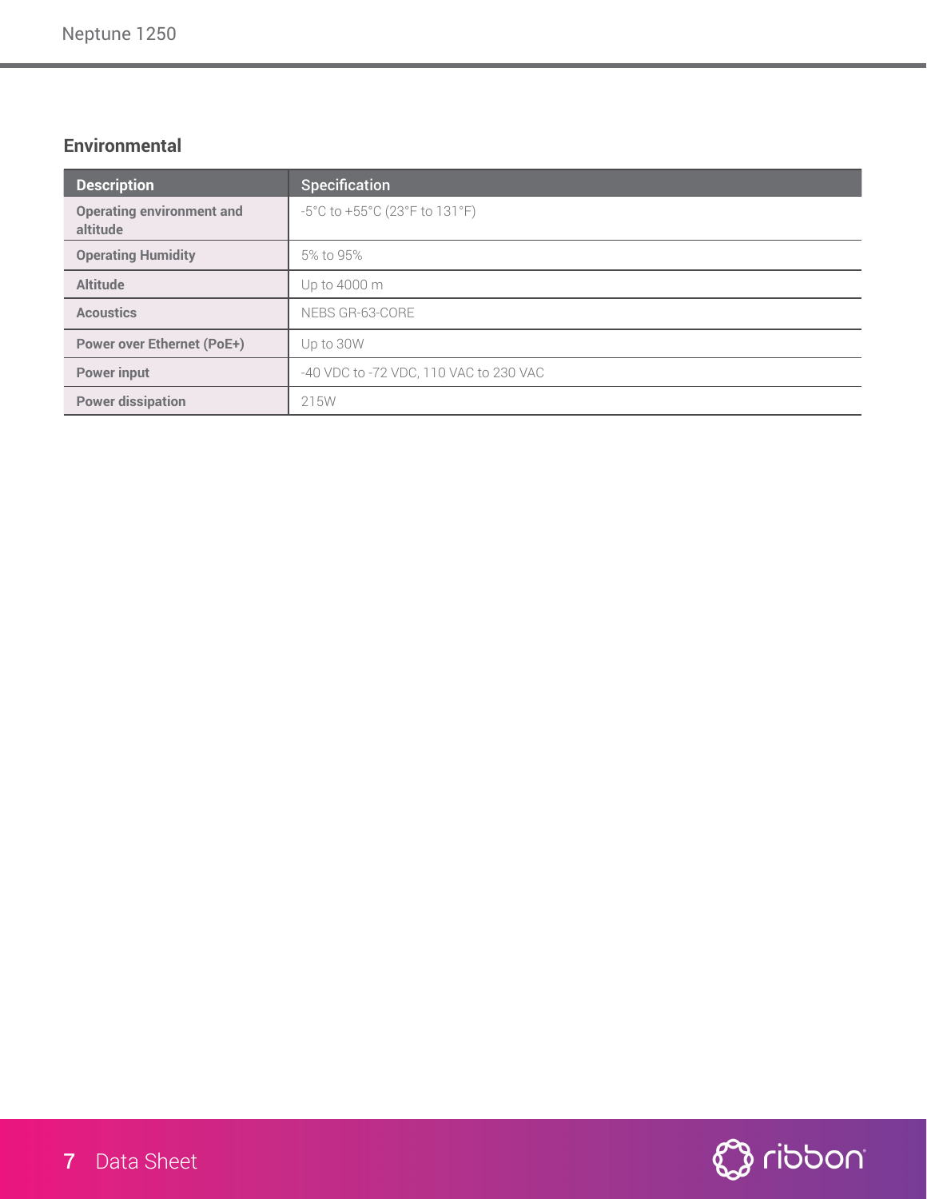#### **Environmental**

| <b>Description</b>                           | <b>Specification</b>                   |
|----------------------------------------------|----------------------------------------|
| <b>Operating environment and</b><br>altitude | -5°C to +55°C (23°F to 131°F)          |
| <b>Operating Humidity</b>                    | 5% to 95%                              |
| <b>Altitude</b>                              | Up to 4000 m                           |
| <b>Acoustics</b>                             | NEBS GR-63-CORE                        |
| <b>Power over Ethernet (PoE+)</b>            | Up to 30W                              |
| <b>Power input</b>                           | -40 VDC to -72 VDC, 110 VAC to 230 VAC |
| <b>Power dissipation</b>                     | 215W                                   |